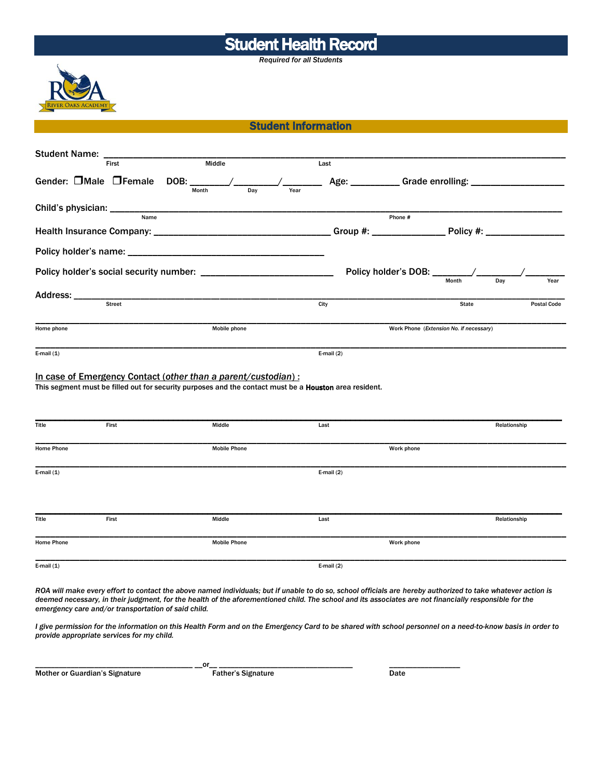## Student Health Record

*Required for all Students*



Student Information

| <b>Student Name:</b>     |                       |                                                                                                                                                                         |              |                                         |                    |  |  |
|--------------------------|-----------------------|-------------------------------------------------------------------------------------------------------------------------------------------------------------------------|--------------|-----------------------------------------|--------------------|--|--|
|                          | First                 | Middle                                                                                                                                                                  | Last         |                                         |                    |  |  |
|                          | Gender: □Male □Female | DOB: ________<br>Dav<br>Month                                                                                                                                           | Year         |                                         |                    |  |  |
| Child's physician: _____ | Name                  |                                                                                                                                                                         |              | Phone #                                 |                    |  |  |
|                          |                       |                                                                                                                                                                         |              |                                         |                    |  |  |
|                          |                       |                                                                                                                                                                         |              |                                         |                    |  |  |
|                          |                       |                                                                                                                                                                         |              | Dav<br>Year                             |                    |  |  |
| Address: ___________     |                       |                                                                                                                                                                         |              |                                         |                    |  |  |
|                          | Street                |                                                                                                                                                                         | City         | State                                   | <b>Postal Code</b> |  |  |
| Home phone               |                       | Mobile phone                                                                                                                                                            |              | Work Phone (Extension No. if necessary) |                    |  |  |
| E-mail $(1)$             |                       |                                                                                                                                                                         | E-mail $(2)$ |                                         |                    |  |  |
|                          |                       | In case of Emergency Contact (other than a parent/custodian):<br>This segment must be filled out for security purposes and the contact must be a Houston area resident. |              |                                         |                    |  |  |
| <b>Title</b>             | First                 | Middle                                                                                                                                                                  | Last         |                                         | Relationship       |  |  |
| Home Phone               |                       | <b>Mobile Phone</b>                                                                                                                                                     |              | Work phone                              |                    |  |  |
| E-mail $(1)$             |                       |                                                                                                                                                                         | E-mail $(2)$ |                                         |                    |  |  |
| Title                    | First                 | Middle                                                                                                                                                                  | Last         |                                         | Relationship       |  |  |
| Home Phone               |                       | <b>Mobile Phone</b>                                                                                                                                                     |              | Work phone                              |                    |  |  |
| E-mail $(1)$             |                       |                                                                                                                                                                         | E-mail $(2)$ |                                         |                    |  |  |

*ROA will make every effort to contact the above named individuals; but if unable to do so, school officials are hereby authorized to take whatever action is deemed necessary, in their judgment, for the health of the aforementioned child. The school and its associates are not financially responsible for the emergency care and/or transportation of said child.*

*I give permission for the information on this Health Form and on the Emergency Card to be shared with school personnel on a need-to-know basis in order to provide appropriate services for my child.*

Mother or Guardian's Signature Father's Signature Date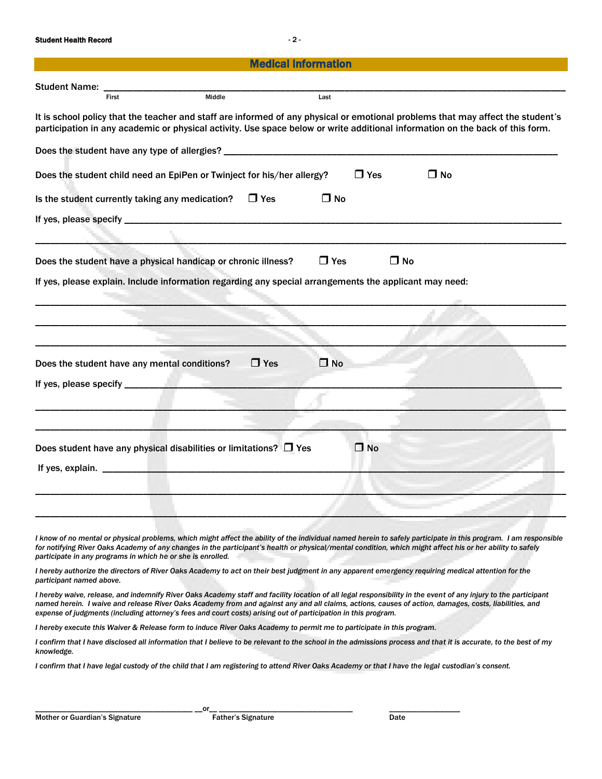Student Health Record - 2 -

| <b>Medical Information</b>                                                                                                                                                                                                                                       |                                                                 |            |              |           |  |  |  |
|------------------------------------------------------------------------------------------------------------------------------------------------------------------------------------------------------------------------------------------------------------------|-----------------------------------------------------------------|------------|--------------|-----------|--|--|--|
| <b>Student Name:</b>                                                                                                                                                                                                                                             |                                                                 |            |              |           |  |  |  |
| First                                                                                                                                                                                                                                                            | Middle                                                          | Last       |              |           |  |  |  |
| It is school policy that the teacher and staff are informed of any physical or emotional problems that may affect the student's<br>participation in any academic or physical activity. Use space below or write additional information on the back of this form. |                                                                 |            |              |           |  |  |  |
| Does the student have any type of allergies? ___________________________________                                                                                                                                                                                 |                                                                 |            |              |           |  |  |  |
| Does the student child need an EpiPen or Twinject for his/her allergy?                                                                                                                                                                                           |                                                                 |            | $\Box$ Yes   | $\Box$ No |  |  |  |
| Is the student currently taking any medication?                                                                                                                                                                                                                  | $\Box$ Yes                                                      | $\Box$ No  |              |           |  |  |  |
|                                                                                                                                                                                                                                                                  |                                                                 |            |              |           |  |  |  |
|                                                                                                                                                                                                                                                                  |                                                                 |            |              |           |  |  |  |
| Does the student have a physical handicap or chronic illness?                                                                                                                                                                                                    |                                                                 | $\Box$ Yes | $\Box$ No    |           |  |  |  |
| If yes, please explain. Include information regarding any special arrangements the applicant may need:                                                                                                                                                           |                                                                 |            |              |           |  |  |  |
|                                                                                                                                                                                                                                                                  |                                                                 |            |              |           |  |  |  |
|                                                                                                                                                                                                                                                                  |                                                                 |            |              |           |  |  |  |
|                                                                                                                                                                                                                                                                  |                                                                 |            |              |           |  |  |  |
| Does the student have any mental conditions?                                                                                                                                                                                                                     | $\Box$ Yes                                                      | $\Box$ No  |              |           |  |  |  |
| If yes, please specify _________                                                                                                                                                                                                                                 | <b>STATISTICS</b>                                               |            |              |           |  |  |  |
|                                                                                                                                                                                                                                                                  |                                                                 |            |              |           |  |  |  |
|                                                                                                                                                                                                                                                                  |                                                                 |            |              |           |  |  |  |
| Does student have any physical disabilities or limitations? $\Box$ Yes                                                                                                                                                                                           |                                                                 |            | $\square$ No |           |  |  |  |
| If yes, explain. $\frac{1}{2}$                                                                                                                                                                                                                                   | the contract of the contract of the contract of the contract of |            |              |           |  |  |  |
|                                                                                                                                                                                                                                                                  |                                                                 |            |              |           |  |  |  |
|                                                                                                                                                                                                                                                                  |                                                                 |            |              |           |  |  |  |
|                                                                                                                                                                                                                                                                  |                                                                 |            |              |           |  |  |  |
| I know of no mental or physical problems, which might affect the ability of the individual named herein to safely participate in this program. I am responsible                                                                                                  |                                                                 |            |              |           |  |  |  |

for notifying River Oaks Academy of any changes in the participant's health or physical/mental condition, which might affect his or her ability to safely *participate in any programs in which he or she is enrolled.* 

*I hereby authorize the directors of River Oaks Academy to act on their best judgment in any apparent emergency requiring medical attention for the participant named above.*

*I hereby waive, release, and indemnify River Oaks Academy staff and facility location of all legal responsibility in the event of any injury to the participant named herein. I waive and release River Oaks Academy from and against any and all claims, actions, causes of action, damages, costs, liabilities, and expense of judgments (including attorney's fees and court costs) arising out of participation in this program.*

*I hereby execute this Waiver & Release form to induce River Oaks Academy to permit me to participate in this program.*

*I confirm that I have disclosed all information that I believe to be relevant to the school in the admissions process and that it is accurate, to the best of my knowledge.*

I confirm that I have legal custody of the child that I am registering to attend River Oaks Academy or that I have the legal custodian's consent.